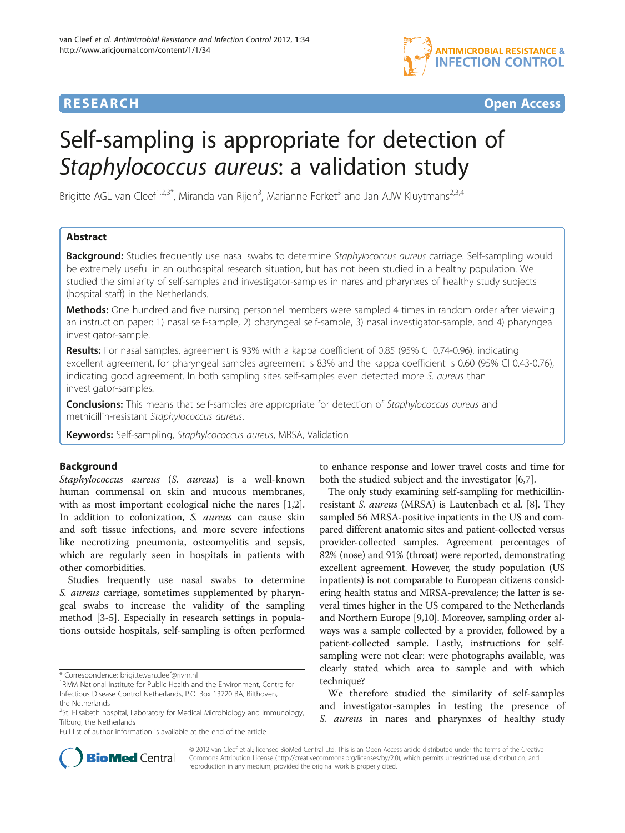



# Self-sampling is appropriate for detection of Staphylococcus aureus: a validation study

Brigitte AGL van Cleef<sup>1,2,3\*</sup>, Miranda van Rijen<sup>3</sup>, Marianne Ferket<sup>3</sup> and Jan AJW Kluytmans<sup>2,3,4</sup>

# Abstract

Background: Studies frequently use nasal swabs to determine Staphylococcus aureus carriage. Self-sampling would be extremely useful in an outhospital research situation, but has not been studied in a healthy population. We studied the similarity of self-samples and investigator-samples in nares and pharynxes of healthy study subjects (hospital staff) in the Netherlands.

**Methods:** One hundred and five nursing personnel members were sampled 4 times in random order after viewing an instruction paper: 1) nasal self-sample, 2) pharyngeal self-sample, 3) nasal investigator-sample, and 4) pharyngeal investigator-sample.

Results: For nasal samples, agreement is 93% with a kappa coefficient of 0.85 (95% CI 0.74-0.96), indicating excellent agreement, for pharyngeal samples agreement is 83% and the kappa coefficient is 0.60 (95% CI 0.43-0.76), indicating good agreement. In both sampling sites self-samples even detected more S. aureus than investigator-samples.

**Conclusions:** This means that self-samples are appropriate for detection of Staphylococcus aureus and methicillin-resistant Staphylococcus aureus.

Keywords: Self-sampling, Staphylcococcus aureus, MRSA, Validation

# Background

Staphylococcus aureus (S. aureus) is a well-known human commensal on skin and mucous membranes, with as most important ecological niche the nares [\[1,2](#page-3-0)]. In addition to colonization, S. aureus can cause skin and soft tissue infections, and more severe infections like necrotizing pneumonia, osteomyelitis and sepsis, which are regularly seen in hospitals in patients with other comorbidities.

Studies frequently use nasal swabs to determine S. aureus carriage, sometimes supplemented by pharyngeal swabs to increase the validity of the sampling method [\[3](#page-3-0)-[5\]](#page-3-0). Especially in research settings in populations outside hospitals, self-sampling is often performed

Full list of author information is available at the end of the article

to enhance response and lower travel costs and time for both the studied subject and the investigator [[6,7\]](#page-3-0).

The only study examining self-sampling for methicillinresistant S. aureus (MRSA) is Lautenbach et al. [[8\]](#page-3-0). They sampled 56 MRSA-positive inpatients in the US and compared different anatomic sites and patient-collected versus provider-collected samples. Agreement percentages of 82% (nose) and 91% (throat) were reported, demonstrating excellent agreement. However, the study population (US inpatients) is not comparable to European citizens considering health status and MRSA-prevalence; the latter is several times higher in the US compared to the Netherlands and Northern Europe [\[9,10\]](#page-3-0). Moreover, sampling order always was a sample collected by a provider, followed by a patient-collected sample. Lastly, instructions for selfsampling were not clear: were photographs available, was clearly stated which area to sample and with which technique?

We therefore studied the similarity of self-samples and investigator-samples in testing the presence of S. aureus in nares and pharynxes of healthy study



© 2012 van Cleef et al.; licensee BioMed Central Ltd. This is an Open Access article distributed under the terms of the Creative Commons Attribution License [\(http://creativecommons.org/licenses/by/2.0\)](http://creativecommons.org/licenses/by/2.0), which permits unrestricted use, distribution, and reproduction in any medium, provided the original work is properly cited.

<sup>\*</sup> Correspondence: [brigitte.van.cleef@rivm.nl](mailto:brigitte.van.cleef@rivm.nl) <sup>1</sup>

<sup>&</sup>lt;sup>1</sup>RIVM National Institute for Public Health and the Environment, Centre for Infectious Disease Control Netherlands, P.O. Box 13720 BA, Bilthoven, the Netherlands

<sup>&</sup>lt;sup>2</sup>St. Elisabeth hospital, Laboratory for Medical Microbiology and Immunology, Tilburg, the Netherlands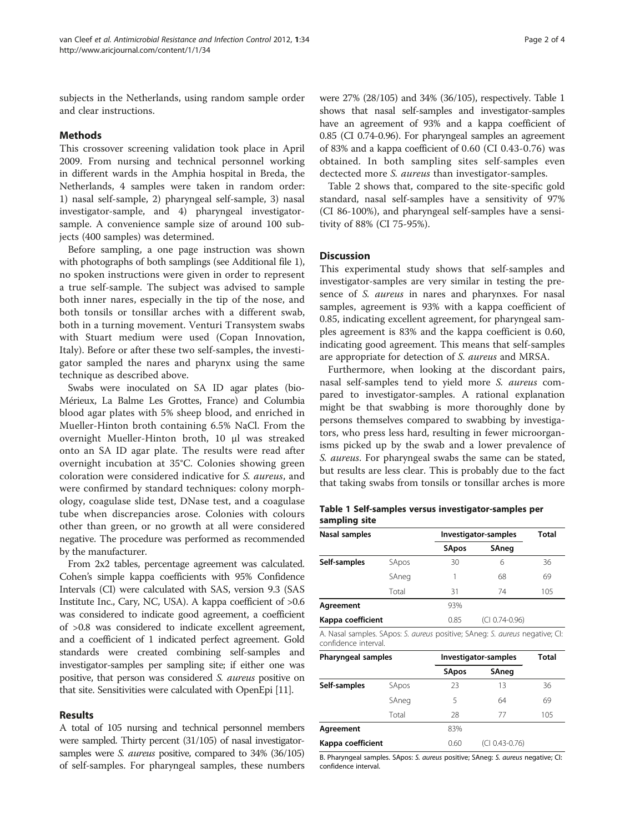subjects in the Netherlands, using random sample order and clear instructions.

### Methods

This crossover screening validation took place in April 2009. From nursing and technical personnel working in different wards in the Amphia hospital in Breda, the Netherlands, 4 samples were taken in random order: 1) nasal self-sample, 2) pharyngeal self-sample, 3) nasal investigator-sample, and 4) pharyngeal investigatorsample. A convenience sample size of around 100 subjects (400 samples) was determined.

Before sampling, a one page instruction was shown with photographs of both samplings (see Additional file [1](#page-2-0)), no spoken instructions were given in order to represent a true self-sample. The subject was advised to sample both inner nares, especially in the tip of the nose, and both tonsils or tonsillar arches with a different swab, both in a turning movement. Venturi Transystem swabs with Stuart medium were used (Copan Innovation, Italy). Before or after these two self-samples, the investigator sampled the nares and pharynx using the same technique as described above.

Swabs were inoculated on SA ID agar plates (bio-Mérieux, La Balme Les Grottes, France) and Columbia blood agar plates with 5% sheep blood, and enriched in Mueller-Hinton broth containing 6.5% NaCl. From the overnight Mueller-Hinton broth, 10 μl was streaked onto an SA ID agar plate. The results were read after overnight incubation at 35°C. Colonies showing green coloration were considered indicative for S. aureus, and were confirmed by standard techniques: colony morphology, coagulase slide test, DNase test, and a coagulase tube when discrepancies arose. Colonies with colours other than green, or no growth at all were considered negative. The procedure was performed as recommended by the manufacturer.

From 2x2 tables, percentage agreement was calculated. Cohen's simple kappa coefficients with 95% Confidence Intervals (CI) were calculated with SAS, version 9.3 (SAS Institute Inc., Cary, NC, USA). A kappa coefficient of >0.6 was considered to indicate good agreement, a coefficient of >0.8 was considered to indicate excellent agreement, and a coefficient of 1 indicated perfect agreement. Gold standards were created combining self-samples and investigator-samples per sampling site; if either one was positive, that person was considered S. aureus positive on that site. Sensitivities were calculated with OpenEpi [\[11\]](#page-3-0).

### Results

A total of 105 nursing and technical personnel members were sampled. Thirty percent (31/105) of nasal investigatorsamples were *S. aureus* positive, compared to 34% (36/105) of self-samples. For pharyngeal samples, these numbers

were 27% (28/105) and 34% (36/105), respectively. Table 1 shows that nasal self-samples and investigator-samples have an agreement of 93% and a kappa coefficient of 0.85 (CI 0.74-0.96). For pharyngeal samples an agreement of 83% and a kappa coefficient of 0.60 (CI 0.43-0.76) was obtained. In both sampling sites self-samples even dectected more *S. aureus* than investigator-samples.

Table [2](#page-2-0) shows that, compared to the site-specific gold standard, nasal self-samples have a sensitivity of 97% (CI 86-100%), and pharyngeal self-samples have a sensitivity of 88% (CI 75-95%).

#### **Discussion**

This experimental study shows that self-samples and investigator-samples are very similar in testing the presence of S. aureus in nares and pharynxes. For nasal samples, agreement is 93% with a kappa coefficient of 0.85, indicating excellent agreement, for pharyngeal samples agreement is 83% and the kappa coefficient is 0.60, indicating good agreement. This means that self-samples are appropriate for detection of S. aureus and MRSA.

Furthermore, when looking at the discordant pairs, nasal self-samples tend to yield more S. aureus compared to investigator-samples. A rational explanation might be that swabbing is more thoroughly done by persons themselves compared to swabbing by investigators, who press less hard, resulting in fewer microorganisms picked up by the swab and a lower prevalence of S. aureus. For pharyngeal swabs the same can be stated, but results are less clear. This is probably due to the fact that taking swabs from tonsils or tonsillar arches is more

|               |  | Table 1 Self-samples versus investigator-samples per |  |
|---------------|--|------------------------------------------------------|--|
| sampling site |  |                                                      |  |

| Nasal samples     |       | Investigator-samples |                    | Total |
|-------------------|-------|----------------------|--------------------|-------|
|                   |       | <b>SApos</b>         | SAneg              |       |
| Self-samples      | SApos | 30                   | 6                  | 36    |
|                   | SAneg |                      | 68                 | 69    |
|                   | Total | 31                   | 74                 | 105   |
| Agreement         |       | 93%                  |                    |       |
| Kappa coefficient |       | 0.85                 | $(CI 0.74 - 0.96)$ |       |

A. Nasal samples. SApos: S. aureus positive; SAneg: S. aureus negative; CI: confidence interval.

| Pharyngeal samples |       |              | Investigator-samples |     |
|--------------------|-------|--------------|----------------------|-----|
|                    |       | <b>SApos</b> | SAneg                |     |
| Self-samples       | SApos | 23           | 13                   | 36  |
|                    | SAneg | 5            | 64                   | 69  |
|                    | Total | 28           | 77                   | 105 |
| Agreement          |       | 83%          |                      |     |
| Kappa coefficient  |       | 0.60         | (CI 0.43-0.76)       |     |

B. Pharyngeal samples. SApos: S. aureus positive; SAneg: S. aureus negative; CI: confidence interval.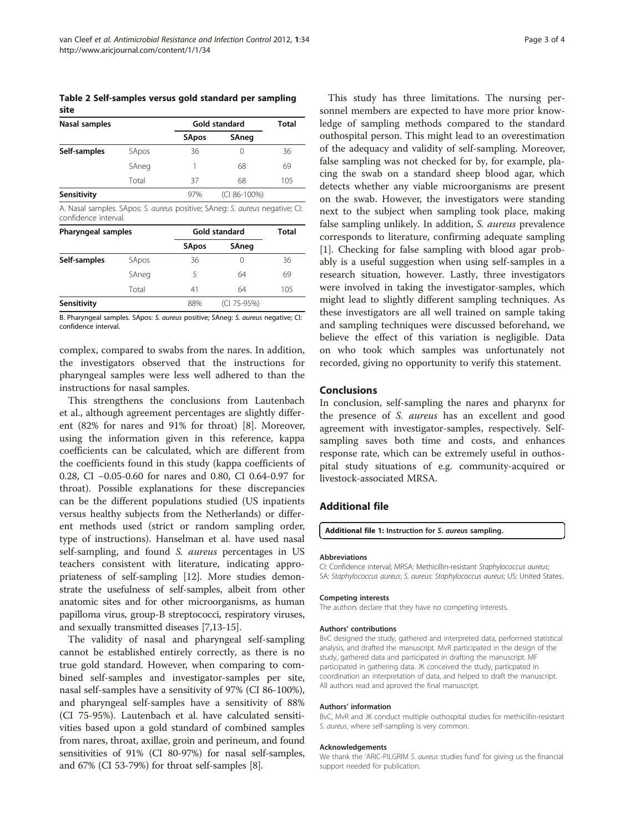<span id="page-2-0"></span>Table 2 Self-samples versus gold standard per sampling site

| Nasal samples |       | Gold standard | Total        |     |
|---------------|-------|---------------|--------------|-----|
|               |       | <b>SApos</b>  | SAneg        |     |
| Self-samples  | SApos | 36            |              | 36  |
|               | SAneg |               | 68           | 69  |
|               | Total | 37            | 68           | 105 |
| Sensitivity   |       | 97%           | (CI 86-100%) |     |

A. Nasal samples. SApos: S. aureus positive; SAneg: S. aureus negative; CI: confidence interval.

| <b>Pharyngeal samples</b> |       |              | Gold standard |     |
|---------------------------|-------|--------------|---------------|-----|
|                           |       | <b>SApos</b> | SAneg         |     |
| Self-samples              | SApos | 36           |               | 36  |
|                           | SAneg | 5            | 64            | 69  |
|                           | Total | 41           | 64            | 105 |
| Sensitivity               |       | 88%          | (CI 75-95%)   |     |

B. Pharyngeal samples. SApos: S. aureus positive; SAneg: S. aureus negative; CI: confidence interval.

complex, compared to swabs from the nares. In addition, the investigators observed that the instructions for pharyngeal samples were less well adhered to than the instructions for nasal samples.

This strengthens the conclusions from Lautenbach et al., although agreement percentages are slightly different (82% for nares and 91% for throat) [\[8](#page-3-0)]. Moreover, using the information given in this reference, kappa coefficients can be calculated, which are different from the coefficients found in this study (kappa coefficients of 0.28, CI −0.05-0.60 for nares and 0.80, CI 0.64-0.97 for throat). Possible explanations for these discrepancies can be the different populations studied (US inpatients versus healthy subjects from the Netherlands) or different methods used (strict or random sampling order, type of instructions). Hanselman et al. have used nasal self-sampling, and found S. *aureus* percentages in US teachers consistent with literature, indicating appropriateness of self-sampling [[12](#page-3-0)]. More studies demonstrate the usefulness of self-samples, albeit from other anatomic sites and for other microorganisms, as human papilloma virus, group-B streptococci, respiratory viruses, and sexually transmitted diseases [\[7,13-15\]](#page-3-0).

The validity of nasal and pharyngeal self-sampling cannot be established entirely correctly, as there is no true gold standard. However, when comparing to combined self-samples and investigator-samples per site, nasal self-samples have a sensitivity of 97% (CI 86-100%), and pharyngeal self-samples have a sensitivity of 88% (CI 75-95%). Lautenbach et al. have calculated sensitivities based upon a gold standard of combined samples from nares, throat, axillae, groin and perineum, and found sensitivities of 91% (CI 80-97%) for nasal self-samples, and 67% (CI 53-79%) for throat self-samples [[8\]](#page-3-0).

This study has three limitations. The nursing personnel members are expected to have more prior knowledge of sampling methods compared to the standard outhospital person. This might lead to an overestimation of the adequacy and validity of self-sampling. Moreover, false sampling was not checked for by, for example, placing the swab on a standard sheep blood agar, which detects whether any viable microorganisms are present on the swab. However, the investigators were standing next to the subject when sampling took place, making false sampling unlikely. In addition, *S. aureus* prevalence corresponds to literature, confirming adequate sampling [[1\]](#page-3-0). Checking for false sampling with blood agar probably is a useful suggestion when using self-samples in a research situation, however. Lastly, three investigators were involved in taking the investigator-samples, which might lead to slightly different sampling techniques. As these investigators are all well trained on sample taking and sampling techniques were discussed beforehand, we believe the effect of this variation is negligible. Data on who took which samples was unfortunately not recorded, giving no opportunity to verify this statement.

## **Conclusions**

In conclusion, self-sampling the nares and pharynx for the presence of S. aureus has an excellent and good agreement with investigator-samples, respectively. Selfsampling saves both time and costs, and enhances response rate, which can be extremely useful in outhospital study situations of e.g. community-acquired or livestock-associated MRSA.

# Additional file

#### [Additional file 1:](http://www.biomedcentral.com/content/supplementary/2047-2994-1-34-S1.doc) Instruction for S. aureus sampling.

#### Abbreviations

CI: Confidence interval; MRSA: Methicillin-resistant Staphylococcus aureus; SA: Staphylococcus aureus; S. aureus: Staphylococcus aureus; US: United States..

#### Competing interests

The authors declare that they have no competing interests.

#### Authors' contributions

BvC designed the study, gathered and interpreted data, performed statistical analysis, and drafted the manuscript. MvR participated in the design of the study, gathered data and participated in drafting the manuscript. MF participated in gathering data. JK conceived the study, particpated in coordination an interpretation of data, and helped to draft the manuscript. All authors read and aproved the final manuscript.

#### Authors' information

BvC, MvR and JK conduct multiple outhospital studies for methicillin-resistant S. aureus, where self-sampling is very common.

#### Acknowledgements

We thank the 'ARIC-PILGRIM S. aureus studies fund' for giving us the financial support needed for publication.